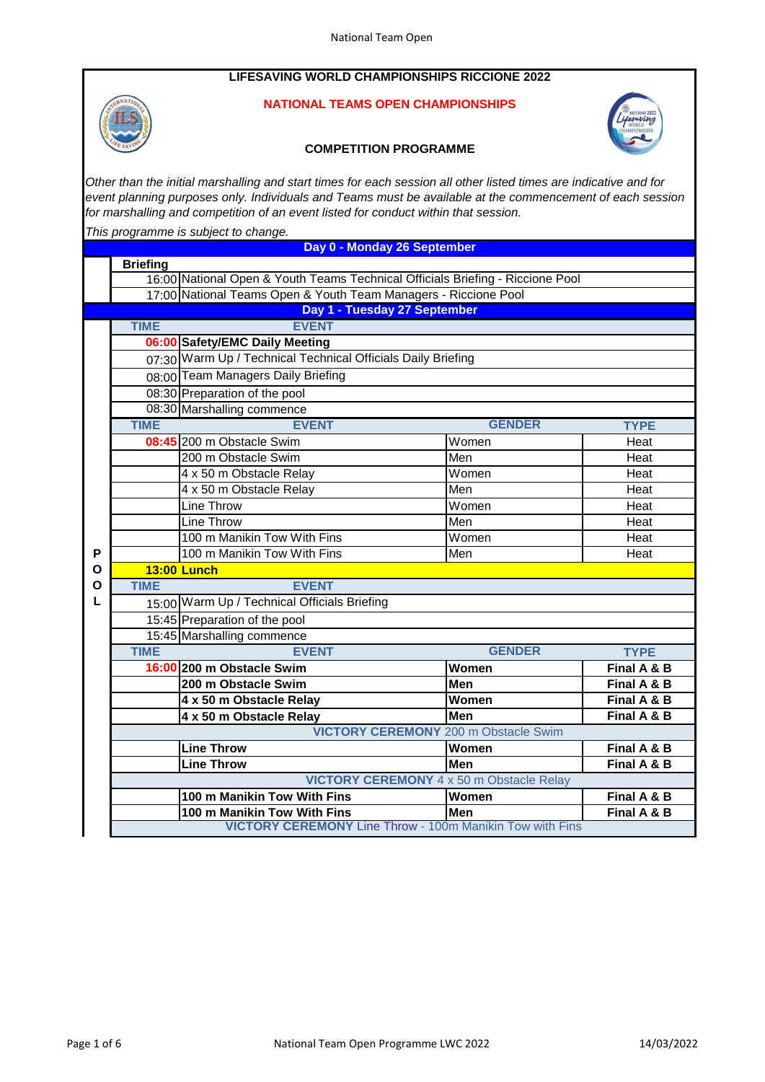# **LIFESAVING WORLD CHAMPIONSHIPS RICCIONE 2022**



# **NATIONAL TEAMS OPEN CHAMPIONSHIPS**



## **COMPETITION PROGRAMME**

*Other than the initial marshalling and start times for each session all other listed times are indicative and for event planning purposes only. Individuals and Teams must be available at the commencement of each session for marshalling and competition of an event listed for conduct within that session.*

*This programme is subject to change.*

**Day 0 - Monday 26 September**

|   | <b>Briefing</b>                                                                |                                                                 |               |             |  |  |
|---|--------------------------------------------------------------------------------|-----------------------------------------------------------------|---------------|-------------|--|--|
|   | 16:00 National Open & Youth Teams Technical Officials Briefing - Riccione Pool |                                                                 |               |             |  |  |
|   |                                                                                | 17:00 National Teams Open & Youth Team Managers - Riccione Pool |               |             |  |  |
|   | Day 1 - Tuesday 27 September                                                   |                                                                 |               |             |  |  |
|   | <b>TIME</b>                                                                    | <b>EVENT</b>                                                    |               |             |  |  |
|   |                                                                                | 06:00 Safety/EMC Daily Meeting                                  |               |             |  |  |
|   |                                                                                | 07:30 Warm Up / Technical Technical Officials Daily Briefing    |               |             |  |  |
|   |                                                                                | 08:00 Team Managers Daily Briefing                              |               |             |  |  |
|   |                                                                                | 08:30 Preparation of the pool                                   |               |             |  |  |
|   |                                                                                | 08:30 Marshalling commence                                      |               |             |  |  |
|   | <b>TIME</b>                                                                    | <b>EVENT</b>                                                    | <b>GENDER</b> | <b>TYPE</b> |  |  |
|   |                                                                                | 08:45 200 m Obstacle Swim                                       | Women         | Heat        |  |  |
|   |                                                                                | 200 m Obstacle Swim                                             | Men           | Heat        |  |  |
|   |                                                                                | 4 x 50 m Obstacle Relay                                         | Women         | Heat        |  |  |
|   |                                                                                | 4 x 50 m Obstacle Relay                                         | Men           | Heat        |  |  |
|   |                                                                                | Line Throw                                                      | Women         | Heat        |  |  |
|   |                                                                                | Line Throw                                                      | Men           | Heat        |  |  |
|   |                                                                                | 100 m Manikin Tow With Fins                                     | Women         | Heat        |  |  |
| P |                                                                                | 100 m Manikin Tow With Fins                                     | Men           | Heat        |  |  |
| O | <b>13:00 Lunch</b>                                                             |                                                                 |               |             |  |  |
| O | <b>TIME</b>                                                                    | <b>EVENT</b>                                                    |               |             |  |  |
| L |                                                                                | 15:00 Warm Up / Technical Officials Briefing                    |               |             |  |  |
|   |                                                                                | 15:45 Preparation of the pool                                   |               |             |  |  |
|   |                                                                                | 15:45 Marshalling commence                                      |               |             |  |  |
|   | <b>TIME</b>                                                                    | <b>EVENT</b>                                                    | <b>GENDER</b> | <b>TYPE</b> |  |  |
|   |                                                                                | 16:00 200 m Obstacle Swim                                       | Women         | Final A & B |  |  |
|   |                                                                                | 200 m Obstacle Swim                                             | Men           | Final A & B |  |  |
|   |                                                                                | 4 x 50 m Obstacle Relay                                         | Women         | Final A & B |  |  |
|   |                                                                                | 4 x 50 m Obstacle Relay                                         | Men           | Final A & B |  |  |
|   | <b>VICTORY CEREMONY</b> 200 m Obstacle Swim                                    |                                                                 |               |             |  |  |
|   |                                                                                | <b>Line Throw</b>                                               | Women         | Final A & B |  |  |
|   |                                                                                | <b>Line Throw</b>                                               | <b>Men</b>    | Final A & B |  |  |
|   | <b>VICTORY CEREMONY 4 x 50 m Obstacle Relay</b>                                |                                                                 |               |             |  |  |
|   |                                                                                | 100 m Manikin Tow With Fins                                     | Women         | Final A & B |  |  |
|   |                                                                                | 100 m Manikin Tow With Fins                                     | Men           | Final A & B |  |  |
|   |                                                                                | <b>VICTORY CEREMONY Line Throw - 100m Manikin Tow with Fins</b> |               |             |  |  |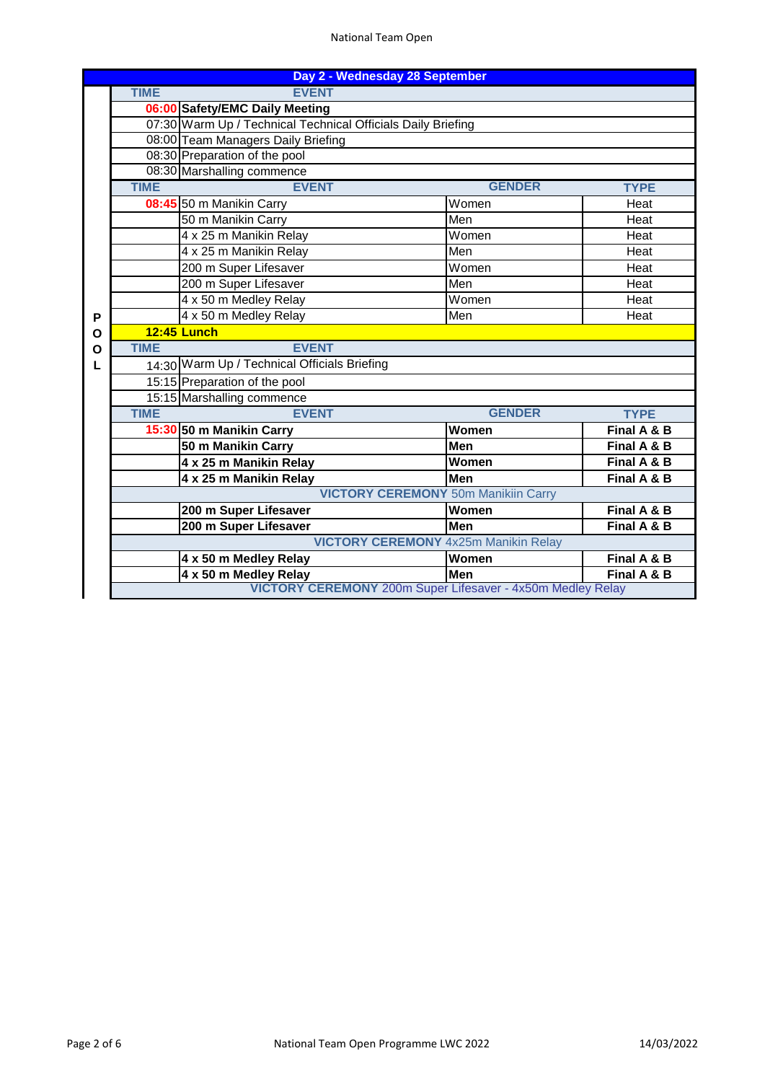### National Team Open

| Day 2 - Wednesday 28 September             |                                                              |                                                                   |               |             |  |
|--------------------------------------------|--------------------------------------------------------------|-------------------------------------------------------------------|---------------|-------------|--|
|                                            | <b>TIME</b><br><b>EVENT</b>                                  |                                                                   |               |             |  |
|                                            | 06:00 Safety/EMC Daily Meeting                               |                                                                   |               |             |  |
|                                            | 07:30 Warm Up / Technical Technical Officials Daily Briefing |                                                                   |               |             |  |
|                                            | 08:00 Team Managers Daily Briefing                           |                                                                   |               |             |  |
|                                            | 08:30 Preparation of the pool<br>08:30 Marshalling commence  |                                                                   |               |             |  |
|                                            |                                                              |                                                                   |               |             |  |
|                                            | <b>TIME</b>                                                  | <b>EVENT</b>                                                      | <b>GENDER</b> | <b>TYPE</b> |  |
|                                            |                                                              | 08:45 50 m Manikin Carry                                          | Women         | Heat        |  |
|                                            |                                                              | 50 m Manikin Carry                                                | Men           | Heat        |  |
|                                            |                                                              | 4 x 25 m Manikin Relay                                            | Women         | Heat        |  |
|                                            |                                                              | 4 x 25 m Manikin Relay                                            | Men           | Heat        |  |
|                                            |                                                              | 200 m Super Lifesaver                                             | Women         | Heat        |  |
|                                            |                                                              | 200 m Super Lifesaver                                             | Men           | Heat        |  |
|                                            |                                                              | 4 x 50 m Medley Relay                                             | Women         | Heat        |  |
| P                                          |                                                              | 4 x 50 m Medley Relay                                             | Men           | Heat        |  |
| O                                          | <b>12:45 Lunch</b>                                           |                                                                   |               |             |  |
| O                                          | <b>TIME</b>                                                  | <b>EVENT</b>                                                      |               |             |  |
| L                                          | 14:30 Warm Up / Technical Officials Briefing                 |                                                                   |               |             |  |
|                                            |                                                              | 15:15 Preparation of the pool                                     |               |             |  |
|                                            |                                                              | 15:15 Marshalling commence                                        |               |             |  |
|                                            | <b>TIME</b>                                                  | <b>EVENT</b>                                                      | <b>GENDER</b> | <b>TYPE</b> |  |
|                                            |                                                              | 15:30 50 m Manikin Carry                                          | Women         | Final A & B |  |
|                                            |                                                              | 50 m Manikin Carry                                                | Men           | Final A & B |  |
|                                            |                                                              | 4 x 25 m Manikin Relay                                            | Women         | Final A & B |  |
|                                            |                                                              | 4 x 25 m Manikin Relay                                            | Men           | Final A & B |  |
| <b>VICTORY CEREMONY 50m Manikiin Carry</b> |                                                              |                                                                   |               |             |  |
|                                            |                                                              | 200 m Super Lifesaver                                             | Women         | Final A & B |  |
|                                            |                                                              | 200 m Super Lifesaver                                             | <b>Men</b>    | Final A & B |  |
|                                            | <b>VICTORY CEREMONY</b> 4x25m Manikin Relay                  |                                                                   |               |             |  |
|                                            |                                                              | 4 x 50 m Medley Relay                                             | Women         | Final A & B |  |
|                                            |                                                              | 4 x 50 m Medley Relay                                             | Men           | Final A & B |  |
|                                            |                                                              | <b>VICTORY CEREMONY</b> 200m Super Lifesaver - 4x50m Medley Relay |               |             |  |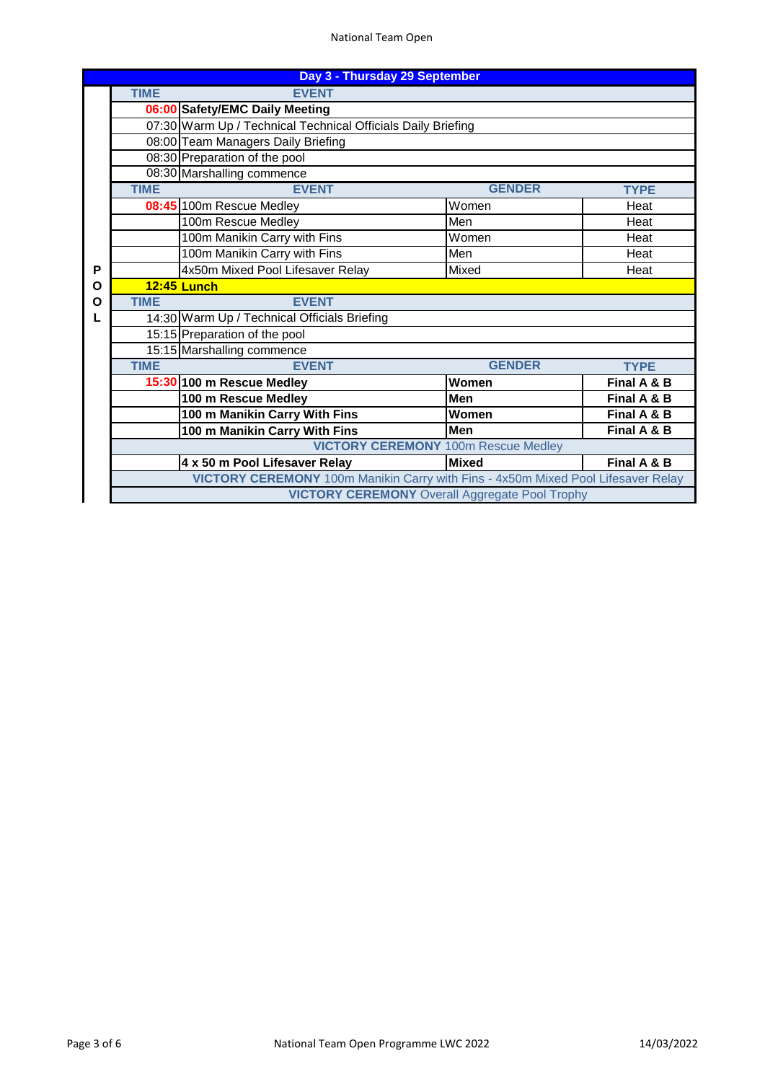### National Team Open

|                             | Day 3 - Thursday 29 September                                                    |                                  |               |             |  |  |  |
|-----------------------------|----------------------------------------------------------------------------------|----------------------------------|---------------|-------------|--|--|--|
| <b>TIME</b><br><b>EVENT</b> |                                                                                  |                                  |               |             |  |  |  |
|                             | 06:00 Safety/EMC Daily Meeting                                                   |                                  |               |             |  |  |  |
|                             | 07:30 Warm Up / Technical Technical Officials Daily Briefing                     |                                  |               |             |  |  |  |
|                             | 08:00 Team Managers Daily Briefing                                               |                                  |               |             |  |  |  |
|                             |                                                                                  | 08:30 Preparation of the pool    |               |             |  |  |  |
|                             |                                                                                  | 08:30 Marshalling commence       |               |             |  |  |  |
|                             | <b>TIME</b>                                                                      | <b>EVENT</b>                     | <b>GENDER</b> | <b>TYPE</b> |  |  |  |
|                             |                                                                                  | 08:45 100m Rescue Medley         | Women         | Heat        |  |  |  |
|                             |                                                                                  | 100m Rescue Medley               | Men           | Heat        |  |  |  |
|                             |                                                                                  | 100m Manikin Carry with Fins     | Women         | Heat        |  |  |  |
|                             |                                                                                  | 100m Manikin Carry with Fins     | Men           | Heat        |  |  |  |
| P                           |                                                                                  | 4x50m Mixed Pool Lifesaver Relay | Mixed         | Heat        |  |  |  |
| O                           | <b>12:45 Lunch</b><br><b>EVENT</b><br><b>TIME</b>                                |                                  |               |             |  |  |  |
| O                           |                                                                                  |                                  |               |             |  |  |  |
| L                           | 14:30 Warm Up / Technical Officials Briefing                                     |                                  |               |             |  |  |  |
|                             | 15:15 Preparation of the pool                                                    |                                  |               |             |  |  |  |
|                             | 15:15 Marshalling commence                                                       |                                  |               |             |  |  |  |
|                             | <b>TIME</b>                                                                      | <b>EVENT</b>                     | <b>GENDER</b> | <b>TYPE</b> |  |  |  |
|                             |                                                                                  | 15:30 100 m Rescue Medley        | Women         | Final A & B |  |  |  |
|                             |                                                                                  | 100 m Rescue Medley              | <b>Men</b>    | Final A & B |  |  |  |
|                             |                                                                                  | 100 m Manikin Carry With Fins    | Women         | Final A & B |  |  |  |
|                             |                                                                                  | 100 m Manikin Carry With Fins    | <b>Men</b>    | Final A & B |  |  |  |
|                             | <b>VICTORY CEREMONY</b> 100m Rescue Medley                                       |                                  |               |             |  |  |  |
|                             |                                                                                  | 4 x 50 m Pool Lifesaver Relay    | <b>Mixed</b>  | Final A & B |  |  |  |
|                             | VICTORY CEREMONY 100m Manikin Carry with Fins - 4x50m Mixed Pool Lifesaver Relay |                                  |               |             |  |  |  |
|                             | <b>VICTORY CEREMONY</b> Overall Aggregate Pool Trophy                            |                                  |               |             |  |  |  |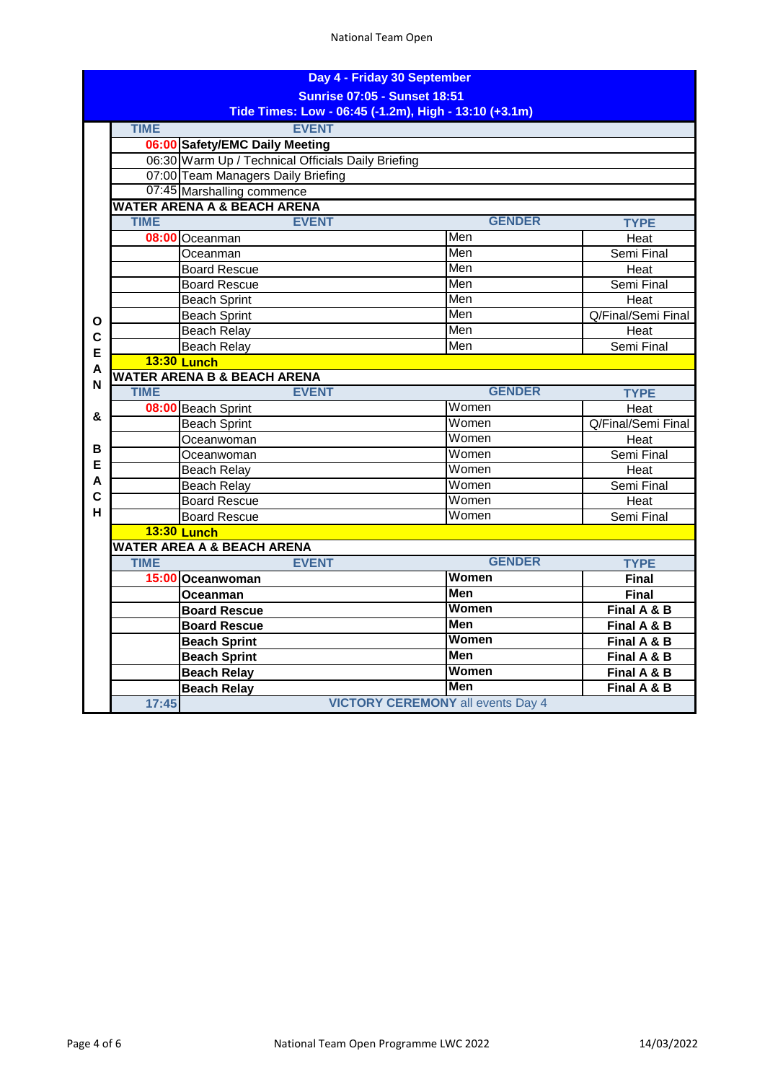| Day 4 - Friday 30 September                           |                                        |                                                    |               |                    |  |
|-------------------------------------------------------|----------------------------------------|----------------------------------------------------|---------------|--------------------|--|
| <b>Sunrise 07:05 - Sunset 18:51</b>                   |                                        |                                                    |               |                    |  |
| Tide Times: Low - 06:45 (-1.2m), High - 13:10 (+3.1m) |                                        |                                                    |               |                    |  |
|                                                       | <b>TIME</b>                            | <b>EVENT</b>                                       |               |                    |  |
|                                                       |                                        | 06:00 Safety/EMC Daily Meeting                     |               |                    |  |
|                                                       |                                        | 06:30 Warm Up / Technical Officials Daily Briefing |               |                    |  |
|                                                       |                                        | 07:00 Team Managers Daily Briefing                 |               |                    |  |
|                                                       |                                        | 07:45 Marshalling commence                         |               |                    |  |
|                                                       | <b>WATER ARENA A &amp; BEACH ARENA</b> |                                                    |               |                    |  |
|                                                       | <b>TIME</b>                            | <b>EVENT</b>                                       | <b>GENDER</b> | <b>TYPE</b>        |  |
|                                                       |                                        | 08:00 Oceanman                                     | Men           | Heat               |  |
|                                                       |                                        | Oceanman                                           | Men           | Semi Final         |  |
|                                                       |                                        | <b>Board Rescue</b>                                | Men           | Heat               |  |
|                                                       |                                        | <b>Board Rescue</b>                                | Men           | Semi Final         |  |
|                                                       |                                        | <b>Beach Sprint</b>                                | Men           | Heat               |  |
| Ο                                                     |                                        | <b>Beach Sprint</b>                                | Men           | Q/Final/Semi Final |  |
| C                                                     |                                        | <b>Beach Relay</b>                                 | Men           | Heat               |  |
| E                                                     |                                        | <b>Beach Relay</b>                                 | Men           | Semi Final         |  |
| А                                                     | <b>13:30 Lunch</b>                     |                                                    |               |                    |  |
| N                                                     |                                        | <b>WATER ARENA B &amp; BEACH ARENA</b>             |               |                    |  |
|                                                       | <b>TIME</b>                            | <b>EVENT</b>                                       | <b>GENDER</b> | <b>TYPE</b>        |  |
| &                                                     |                                        | 08:00 Beach Sprint                                 | Women         | Heat               |  |
|                                                       |                                        | <b>Beach Sprint</b>                                | Women         | Q/Final/Semi Final |  |
|                                                       |                                        | Oceanwoman                                         | Women         | Heat               |  |
| в                                                     |                                        | Oceanwoman                                         | Women         | Semi Final         |  |
| E                                                     |                                        | Beach Relay                                        | Women         | Heat               |  |
| A                                                     |                                        | <b>Beach Relay</b>                                 | Women         | Semi Final         |  |
| $\overline{c}$                                        |                                        | <b>Board Rescue</b>                                | Women         | Heat               |  |
| H.                                                    |                                        | <b>Board Rescue</b>                                | Women         | Semi Final         |  |
|                                                       |                                        | <b>13:30 Lunch</b>                                 |               |                    |  |
|                                                       | <b>WATER AREA A &amp; BEACH ARENA</b>  |                                                    |               |                    |  |
|                                                       | <b>TIME</b>                            | <b>EVENT</b>                                       | <b>GENDER</b> | <b>TYPE</b>        |  |
|                                                       |                                        | 15:00 Oceanwoman                                   | Women         | <b>Final</b>       |  |
|                                                       |                                        | Oceanman                                           | <b>Men</b>    | <b>Final</b>       |  |
|                                                       |                                        | <b>Board Rescue</b>                                | Women         | Final A & B        |  |
|                                                       |                                        | <b>Board Rescue</b>                                | <b>Men</b>    | Final A & B        |  |
|                                                       |                                        | <b>Beach Sprint</b>                                | Women         | Final A & B        |  |
|                                                       |                                        | <b>Beach Sprint</b>                                | Men           | Final A & B        |  |
|                                                       |                                        | <b>Beach Relay</b>                                 | Women         | Final A & B        |  |
|                                                       |                                        | <b>Beach Relay</b>                                 | <b>Men</b>    | Final A & B        |  |
|                                                       | 17:45                                  | <b>VICTORY CEREMONY all events Day 4</b>           |               |                    |  |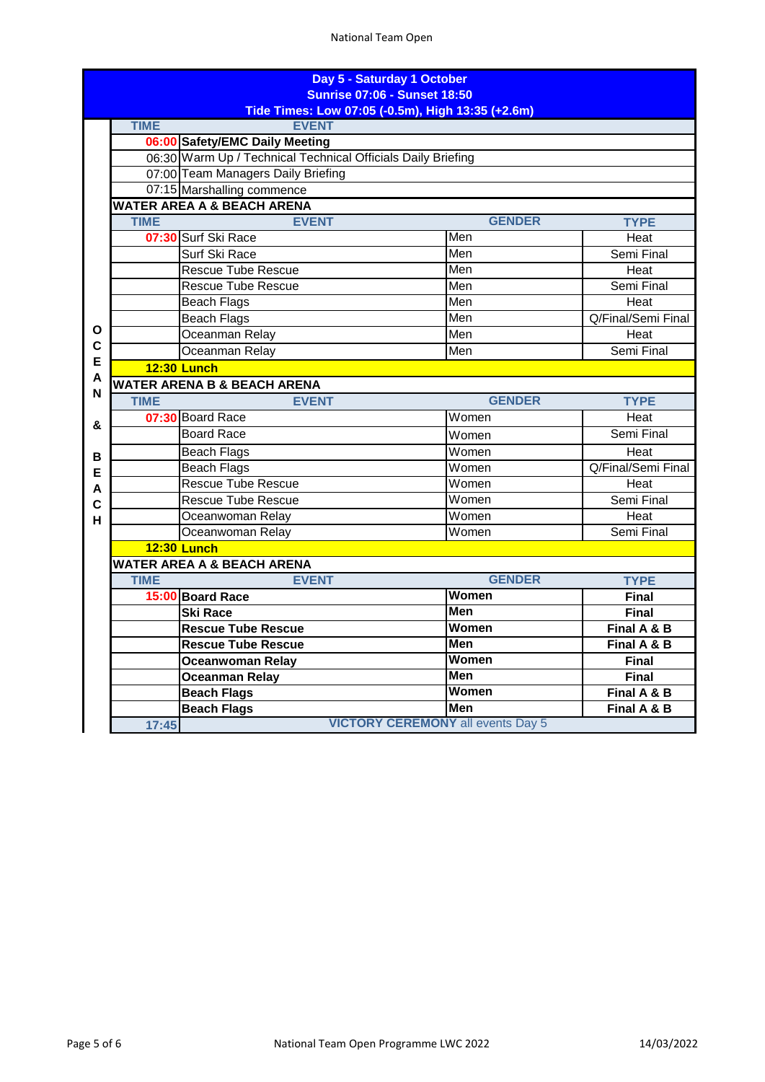| Day 5 - Saturday 1 October<br><b>Sunrise 07:06 - Sunset 18:50</b> |                                                   |                                                              |               |                    |  |  |
|-------------------------------------------------------------------|---------------------------------------------------|--------------------------------------------------------------|---------------|--------------------|--|--|
|                                                                   | Tide Times: Low 07:05 (-0.5m), High 13:35 (+2.6m) |                                                              |               |                    |  |  |
|                                                                   | <b>TIME</b>                                       | <b>EVENT</b>                                                 |               |                    |  |  |
|                                                                   |                                                   | 06:00 Safety/EMC Daily Meeting                               |               |                    |  |  |
|                                                                   |                                                   | 06:30 Warm Up / Technical Technical Officials Daily Briefing |               |                    |  |  |
|                                                                   |                                                   | 07:00 Team Managers Daily Briefing                           |               |                    |  |  |
|                                                                   |                                                   | 07:15 Marshalling commence                                   |               |                    |  |  |
|                                                                   | <b>WATER AREA A &amp; BEACH ARENA</b>             |                                                              |               |                    |  |  |
|                                                                   | <b>TIME</b>                                       | <b>EVENT</b>                                                 | <b>GENDER</b> | <b>TYPE</b>        |  |  |
|                                                                   |                                                   | 07:30 Surf Ski Race                                          | Men           | Heat               |  |  |
|                                                                   |                                                   | Surf Ski Race                                                | Men           | Semi Final         |  |  |
|                                                                   |                                                   | <b>Rescue Tube Rescue</b>                                    | Men           | Heat               |  |  |
|                                                                   |                                                   | <b>Rescue Tube Rescue</b>                                    | Men           | Semi Final         |  |  |
|                                                                   |                                                   | <b>Beach Flags</b>                                           | Men           | Heat               |  |  |
|                                                                   |                                                   | <b>Beach Flags</b>                                           | Men           | Q/Final/Semi Final |  |  |
| O                                                                 |                                                   | Oceanman Relay                                               | Men           | Heat               |  |  |
| $\mathbf C$                                                       |                                                   | Oceanman Relay                                               | Men           | Semi Final         |  |  |
| E<br>A                                                            |                                                   | <b>12:30 Lunch</b>                                           |               |                    |  |  |
| N                                                                 |                                                   | <b>WATER ARENA B &amp; BEACH ARENA</b>                       |               |                    |  |  |
|                                                                   | <b>TIME</b>                                       | <b>EVENT</b>                                                 | <b>GENDER</b> | <b>TYPE</b>        |  |  |
| &                                                                 |                                                   | 07:30 Board Race                                             | Women         | Heat               |  |  |
|                                                                   |                                                   | <b>Board Race</b>                                            | Women         | Semi Final         |  |  |
| в                                                                 |                                                   | <b>Beach Flags</b>                                           | Women         | Heat               |  |  |
| E                                                                 |                                                   | <b>Beach Flags</b>                                           | Women         | Q/Final/Semi Final |  |  |
| Α                                                                 |                                                   | <b>Rescue Tube Rescue</b>                                    | Women         | Heat               |  |  |
| $\mathbf c$                                                       |                                                   | <b>Rescue Tube Rescue</b>                                    | Women         | Semi Final         |  |  |
| н                                                                 |                                                   | Oceanwoman Relay                                             | Women         | Heat               |  |  |
|                                                                   |                                                   | Oceanwoman Relay                                             | Women         | Semi Final         |  |  |
|                                                                   |                                                   | <b>12:30 Lunch</b>                                           |               |                    |  |  |
|                                                                   |                                                   | <b>WATER AREA A &amp; BEACH ARENA</b>                        |               |                    |  |  |
|                                                                   | <b>TIME</b>                                       | <b>EVENT</b>                                                 | <b>GENDER</b> | <b>TYPE</b>        |  |  |
|                                                                   |                                                   | 15:00 Board Race                                             | <b>Women</b>  | <b>Final</b>       |  |  |
|                                                                   |                                                   | <b>Ski Race</b>                                              | <b>Men</b>    | <b>Final</b>       |  |  |
|                                                                   |                                                   | <b>Rescue Tube Rescue</b>                                    | <b>Women</b>  | Final A & B        |  |  |
|                                                                   |                                                   | <b>Rescue Tube Rescue</b>                                    | <b>Men</b>    | Final A & B        |  |  |
|                                                                   |                                                   | Oceanwoman Relay                                             | Women         | <b>Final</b>       |  |  |
|                                                                   |                                                   | <b>Oceanman Relay</b>                                        | Men           | <b>Final</b>       |  |  |
|                                                                   |                                                   | <b>Beach Flags</b>                                           | <b>Women</b>  | Final A & B        |  |  |
|                                                                   |                                                   | <b>Beach Flags</b>                                           | <b>Men</b>    | Final A & B        |  |  |
|                                                                   | 17:45                                             | <b>VICTORY CEREMONY all events Day 5</b>                     |               |                    |  |  |